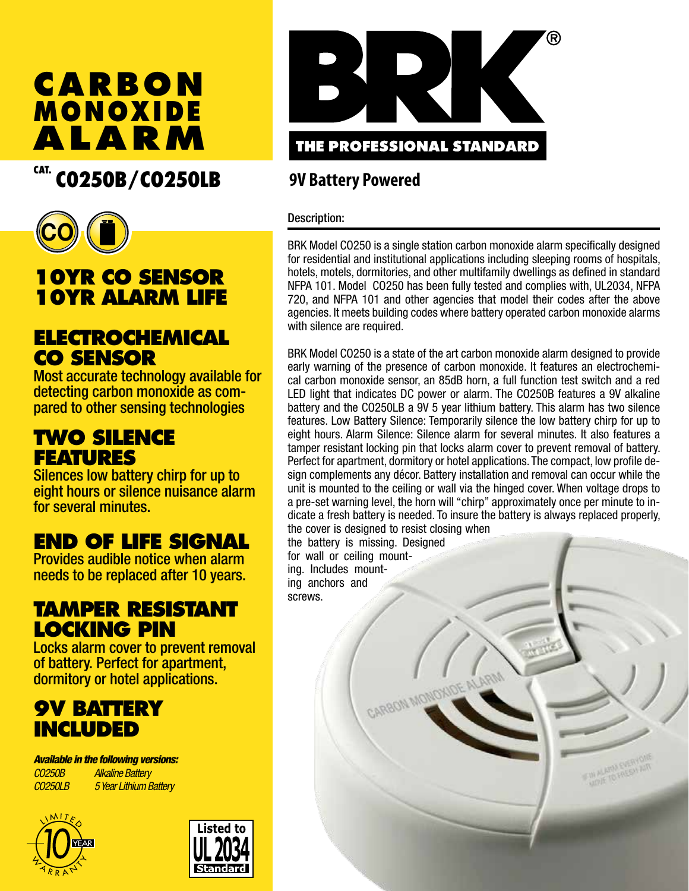# **CARBON ALARM MONOXIDE**

## CAT. CO250B/CO250LB



## **10YR CO SENSOR 10YR ALARM LIFE**

#### **ELECTROCHEMICAL CO SENSOR**

Most accurate technology available for detecting carbon monoxide as com- pared to other sensing technologies

### **TWO SILENCE FEATURES**

Silences low battery chirp for up to eight hours or silence nuisance alarm for several minutes.

## **END OF LIFE SIGNAL**

Provides audible notice when alarm needs to be replaced after 10 years.

### **TAMPER RESISTANT LOCKING PIN**

Locks alarm cover to prevent removal of battery. Perfect for apartment, dormitory or hotel applications.

### **9V BATTERY INCLUDED**

*Available in the following versions: CO250B Alkaline Battery CO250LB 5 Year Lithium Battery* 







#### **9V Battery Powered**

#### Description:

BRK Model CO250 is a single station carbon monoxide alarm specifically designed for residential and institutional applications including sleeping rooms of hospitals, hotels, motels, dormitories, and other multifamily dwellings as defined in standard NFPA 101. Model CO250 has been fully tested and complies with, UL2034, NFPA 720, and NFPA 101 and other agencies that model their codes after the above agencies. It meets building codes where battery operated carbon monoxide alarms with silence are required.

BRK Model CO250 is a state of the art carbon monoxide alarm designed to provide early warning of the presence of carbon monoxide. It features an electrochemical carbon monoxide sensor, an 85dB horn, a full function test switch and a red LED light that indicates DC power or alarm. The CO250B features a 9V alkaline battery and the CO250LB a 9V 5 year lithium battery. This alarm has two silence features. Low Battery Silence: Temporarily silence the low battery chirp for up to eight hours. Alarm Silence: Silence alarm for several minutes. It also features a tamper resistant locking pin that locks alarm cover to prevent removal of battery. Perfect for apartment, dormitory or hotel applications. The compact, low profile design complements any décor. Battery installation and removal can occur while the unit is mounted to the ceiling or wall via the hinged cover. When voltage drops to a pre-set warning level, the horn will "chirp" approximately once per minute to indicate a fresh battery is needed. To insure the battery is always replaced properly, the cover is designed to resist closing when

the battery is missing. Designed for wall or ceiling mounting. Includes mounting anchors and screws.

CARBON MONOXIC

WALARM EVERY AIR